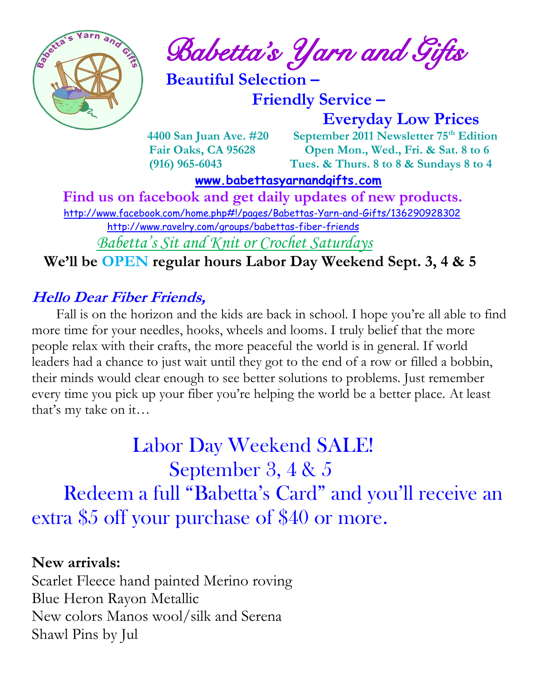

 $\int_{a}^{\frac{1}{2}} \mathbf{A} \mathbf{B}^{\frac{1}{2}}$  Babetta's Yarn and Gifts

 **Beautiful Selection –**

 **Friendly Service –**

 **Everyday Low Prices**

 **4400 San Juan Ave. #20 September 2011 Newsletter 75th Edition Fair Oaks, CA 95628 Open Mon., Wed., Fri. & Sat. 8 to 6 (916) 965-6043 Tues. & Thurs. 8 to 8 & Sundays 8 to 4** 

 **[www.babettasyarnandgifts.com](http://www.babettasyarnandgifts.com/)**

 **Find us on facebook and get daily updates of new products.**  <http://www.facebook.com/home.php#!/pages/Babettas-Yarn-and-Gifts/136290928302> <http://www.ravelry.com/groups/babettas-fiber-friends>

*Babetta's Sit and Knit or Crochet Saturdays*

 **We'll be OPEN regular hours Labor Day Weekend Sept. 3, 4 & 5**

## **Hello Dear Fiber Friends,**

 Fall is on the horizon and the kids are back in school. I hope you're all able to find more time for your needles, hooks, wheels and looms. I truly belief that the more people relax with their crafts, the more peaceful the world is in general. If world leaders had a chance to just wait until they got to the end of a row or filled a bobbin, their minds would clear enough to see better solutions to problems. Just remember every time you pick up your fiber you're helping the world be a better place. At least that's my take on it…

 Labor Day Weekend SALE! September 3, 4 & 5 Redeem a full "Babetta's Card" and you'll receive an extra \$5 off your purchase of \$40 or more.

#### **New arrivals:**

Scarlet Fleece hand painted Merino roving Blue Heron Rayon Metallic New colors Manos wool/silk and Serena Shawl Pins by Jul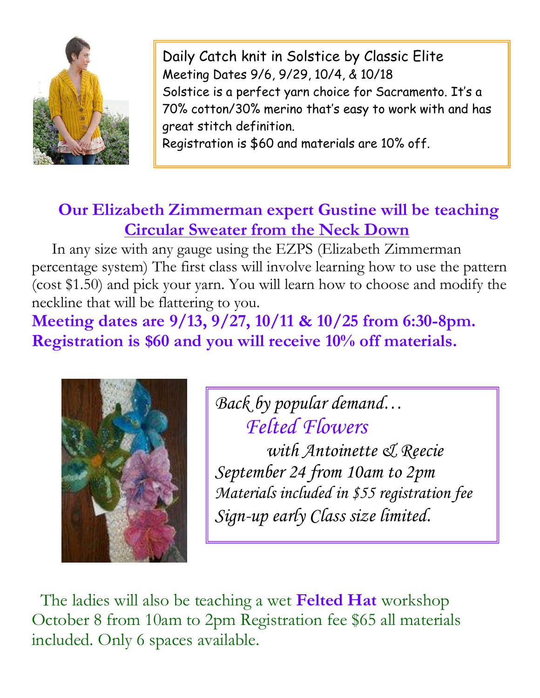

Daily Catch knit in Solstice by Classic Elite Meeting Dates 9/6, 9/29, 10/4, & 10/18 Solstice is a perfect yarn choice for Sacramento. It's a 70% cotton/30% merino that's easy to work with and has great stitch definition. Registration is \$60 and materials are 10% off.

 **Our Elizabeth Zimmerman expert Gustine will be teaching Circular Sweater from the Neck Down** 

 In any size with any gauge using the EZPS (Elizabeth Zimmerman percentage system) The first class will involve learning how to use the pattern (cost \$1.50) and pick your yarn. You will learn how to choose and modify the neckline that will be flattering to you.

**Meeting dates are 9/13, 9/27, 10/11 & 10/25 from 6:30-8pm. Registration is \$60 and you will receive 10% off materials.**



*Back by popular demand… Felted Flowers* 

 *with Antoinette & Reecie September 24 from 10am to 2pm Materials included in \$55 registration fee Sign-up early Class size limited.*

 The ladies will also be teaching a wet **Felted Hat** workshop October 8 from 10am to 2pm Registration fee \$65 all materials included. Only 6 spaces available.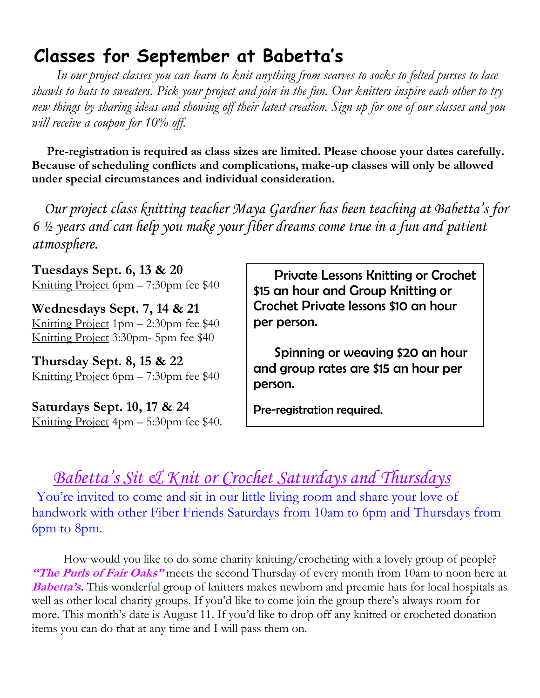# **Classes for September at Babetta's**

 *In our project classes you can learn to knit anything from scarves to socks to felted purses to lace shawls to hats to sweaters. Pick your project and join in the fun. Our knitters inspire each other to try new things by sharing ideas and showing off their latest creation. Sign up for one of our classes and you will receive a coupon for 10% off.*

 **Pre-registration is required as class sizes are limited. Please choose your dates carefully. Because of scheduling conflicts and complications, make-up classes will only be allowed under special circumstances and individual consideration.**

*Our project class knitting teacher Maya Gardner has been teaching at Babetta's for 6 ½ years and can help you make your fiber dreams come true in a fun and patient atmosphere.*

**Tuesdays Sept. 6, 13 & 20** Knitting Project 6pm – 7:30pm fee \$40

**Wednesdays Sept. 7, 14 & 21** Knitting Project 1pm – 2:30pm fee \$40 Knitting Project 3:30pm- 5pm fee \$40

**Thursday Sept. 8, 15 & 22** Knitting Project 6pm – 7:30pm fee \$40

**Saturdays Sept. 10, 17 & 24** Knitting Project 4pm – 5:30pm fee \$40.

 Private Lessons Knitting or Crochet \$15 an hour and Group Knitting or Crochet Private lessons \$10 an hour per person.

 Spinning or weaving \$20 an hour and group rates are \$15 an hour per person.

Pre-registration required.

# *Babetta's Sit & Knit or Crochet Saturdays and Thursdays*

You're invited to come and sit in our little living room and share your love of handwork with other Fiber Friends Saturdays from 10am to 6pm and Thursdays from 6pm to 8pm.

 How would you like to do some charity knitting/crocheting with a lovely group of people? **"The Purls of Fair Oaks"** meets the second Thursday of every month from 10am to noon here at **Babetta's.** This wonderful group of knitters makes newborn and preemie hats for local hospitals as well as other local charity groups. If you'd like to come join the group there's always room for more. This month's date is August 11. If you'd like to drop off any knitted or crocheted donation items you can do that at any time and I will pass them on.